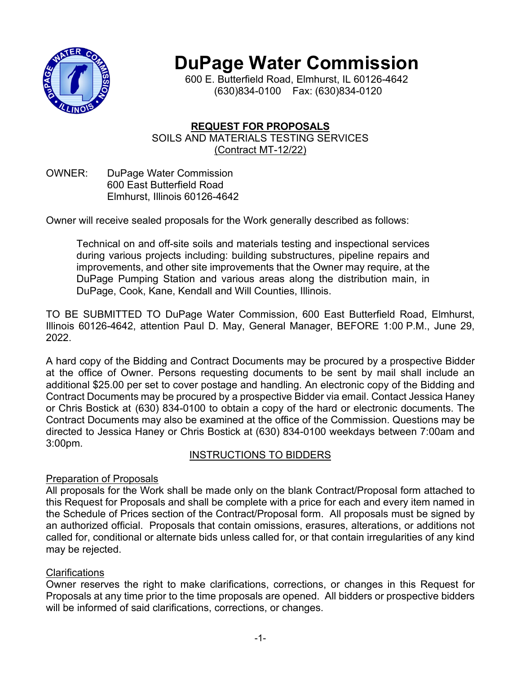

# **DuPage Water Commission**

600 E. Butterfield Road, Elmhurst, IL 60126-4642 (630)834-0100 Fax: (630)834-0120

# **REQUEST FOR PROPOSALS** SOILS AND MATERIALS TESTING SERVICES (Contract MT-12/22)

OWNER: DuPage Water Commission 600 East Butterfield Road Elmhurst, Illinois 60126-4642

Owner will receive sealed proposals for the Work generally described as follows:

Technical on and off-site soils and materials testing and inspectional services during various projects including: building substructures, pipeline repairs and improvements, and other site improvements that the Owner may require, at the DuPage Pumping Station and various areas along the distribution main, in DuPage, Cook, Kane, Kendall and Will Counties, Illinois.

TO BE SUBMITTED TO DuPage Water Commission, 600 East Butterfield Road, Elmhurst, Illinois 60126-4642, attention Paul D. May, General Manager, BEFORE 1:00 P.M., June 29, 2022.

A hard copy of the Bidding and Contract Documents may be procured by a prospective Bidder at the office of Owner. Persons requesting documents to be sent by mail shall include an additional \$25.00 per set to cover postage and handling. An electronic copy of the Bidding and Contract Documents may be procured by a prospective Bidder via email. Contact Jessica Haney or Chris Bostick at (630) 834-0100 to obtain a copy of the hard or electronic documents. The Contract Documents may also be examined at the office of the Commission. Questions may be directed to Jessica Haney or Chris Bostick at (630) 834-0100 weekdays between 7:00am and 3:00pm.

# INSTRUCTIONS TO BIDDERS

## Preparation of Proposals

All proposals for the Work shall be made only on the blank Contract/Proposal form attached to this Request for Proposals and shall be complete with a price for each and every item named in the Schedule of Prices section of the Contract/Proposal form. All proposals must be signed by an authorized official. Proposals that contain omissions, erasures, alterations, or additions not called for, conditional or alternate bids unless called for, or that contain irregularities of any kind may be rejected.

# Clarifications

Owner reserves the right to make clarifications, corrections, or changes in this Request for Proposals at any time prior to the time proposals are opened. All bidders or prospective bidders will be informed of said clarifications, corrections, or changes.